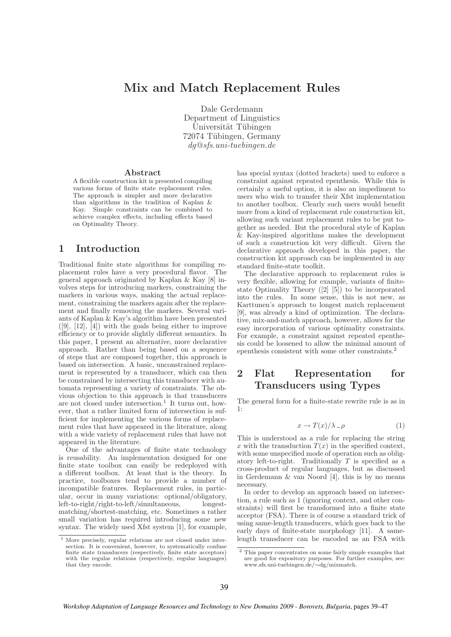# Mix and Match Replacement Rules

Dale Gerdemann Department of Linguistics Universität Tübingen 72074 Tübingen, Germany dg@sfs.uni-tuebingen.de

#### Abstract

A flexible construction kit is presented compiling various forms of finite state replacement rules. The approach is simpler and more declarative than algorithms in the tradition of Kaplan & Kay. Simple constraints can be combined to achieve complex effects, including effects based on Optimality Theory.

### 1 Introduction

Traditional finite state algorithms for compiling replacement rules have a very procedural flavor. The general approach originated by Kaplan & Kay [8] involves steps for introducing markers, constraining the markers in various ways, making the actual replacement, constraining the markers again after the replacement and finally removing the markers. Several variants of Kaplan & Kay's algorithm have been presented  $([9], [12], [4])$  with the goals being either to improve efficiency or to provide slightly different semantics. In this paper, I present an alternative, more declarative approach. Rather than being based on a sequence of steps that are composed together, this approach is based on intersection. A basic, unconstrained replacement is represented by a transducer, which can then be constrained by intersecting this transducer with automata representing a variety of constraints. The obvious objection to this approach is that transducers are not closed under intersection.<sup>1</sup> It turns out, however, that a rather limited form of intersection is sufficient for implementing the various forms of replacement rules that have appeared in the literature, along with a wide variety of replacement rules that have not appeared in the literature.

One of the advantages of finite state technology is reusability. An implementation designed for one finite state toolbox can easily be redeployed with a different toolbox. At least that is the theory. In practice, toolboxes tend to provide a number of incompatible features. Replacement rules, in particular, occur in many variations: optional/obligatory, left-to-right/right-to-left/simultaneous, longestmatching/shortest-matching, etc. Sometimes a rather small variation has required introducing some new syntax. The widely used Xfst system [1], for example,

has special syntax (dotted brackets) used to enforce a constraint against repeated epenthesis. While this is certainly a useful option, it is also an impediment to users who wish to transfer their Xfst implementation to another toolbox. Clearly such users would benefit more from a kind of replacement rule construction kit, allowing such variant replacement rules to be put together as needed. But the procedural style of Kaplan & Kay-inspired algorithms makes the development of such a construction kit very difficult. Given the declarative approach developed in this paper, the construction kit approach can be implemented in any standard finite-state toolkit.

The declarative approach to replacement rules is very flexible, allowing for example, variants of finitestate Optimality Theory ([2] [5]) to be incorporated into the rules. In some sense, this is not new, as Karttunen's approach to longest match replacement [9], was already a kind of optimization. The declarative, mix-and-match approach, however, allows for the easy incorporation of various optimality constraints. For example, a constraint against repeated epenthesis could be loosened to allow the minimal amount of epenthesis consistent with some other constraints.<sup>2</sup>

## 2 Flat Representation for Transducers using Types

The general form for a finite-state rewrite rule is as in 1:

$$
x \to T(x)/\lambda \, . \, \rho \tag{1}
$$

This is understood as a rule for replacing the string x with the transduction  $T(x)$  in the specified context, with some unspecified mode of operation such as obligatory left-to-right. Traditionally  $T$  is specified as a cross-product of regular languages, but as discussed in Gerdemann & van Noord [4], this is by no means necessary.

In order to develop an approach based on intersection, a rule such as 1 (ignoring context, and other constraints) will first be transformed into a finite state acceptor (FSA). There is of course a standard trick of using same-length transducers, which goes back to the early days of finite-state morphology [11]. A samelength transducer can be encoded as an FSA with

<sup>1</sup> More precisely, regular relations are not closed under intersection. It is convenient, however, to systematically confuse finite state transducers (respectively, finite state acceptors) with the regular relations (respectively, regular languages) that they encode.

<sup>2</sup> This paper concentrates on some fairly simple examples that are good for expository purposes. For further examples, see: www.sfs.uni-tuebingen.de/∼dg/mixmatch.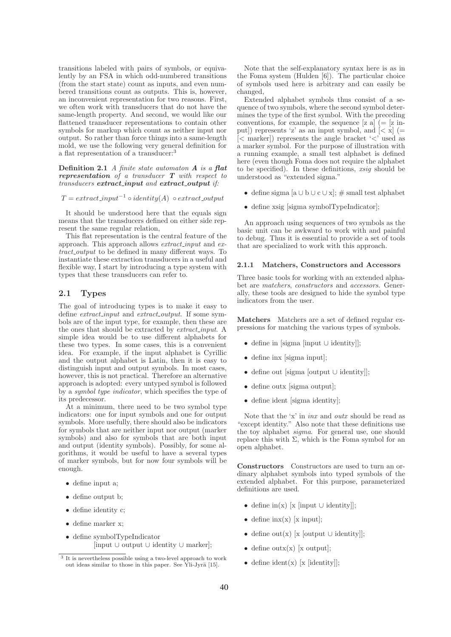transitions labeled with pairs of symbols, or equivalently by an FSA in which odd-numbered transitions (from the start state) count as inputs, and even numbered transitions count as outputs. This is, however, an inconvenient representation for two reasons. First, we often work with transducers that do not have the same-length property. And second, we would like our flattened transducer representations to contain other symbols for markup which count as neither input nor output. So rather than force things into a same-length mold, we use the following very general definition for a flat representation of a transducer:<sup>3</sup>

**Definition 2.1** A finite state automaton  $\boldsymbol{A}$  is a flat representation of a transducer T with respect to transducers extract\_input and extract\_output if:

 $T = extract\_input^{-1} \circ identity(A) \circ extract\_output$ 

It should be understood here that the equals sign means that the transducers defined on either side represent the same regular relation,

This flat representation is the central feature of the approach. This approach allows extract input and extract\_output to be defined in many different ways. To instantiate these extraction transducers in a useful and flexible way, I start by introducing a type system with types that these transducers can refer to.

### 2.1 Types

The goal of introducing types is to make it easy to define *extract\_input* and *extract\_output*. If some symbols are of the input type, for example, then these are the ones that should be extracted by *extract\_input*. A simple idea would be to use different alphabets for these two types. In some cases, this is a convenient idea. For example, if the input alphabet is Cyrillic and the output alphabet is Latin, then it is easy to distinguish input and output symbols. In most cases, however, this is not practical. Therefore an alternative approach is adopted: every untyped symbol is followed by a symbol type indicator, which specifies the type of its predecessor.

At a minimum, there need to be two symbol type indicators: one for input symbols and one for output symbols. More usefully, there should also be indicators for symbols that are neither input nor output (marker symbols) and also for symbols that are both input and output (identity symbols). Possibly, for some algorithms, it would be useful to have a several types of marker symbols, but for now four symbols will be enough.

- define input a;
- define output b;
- define identity c;
- define marker x;
- define symbolTypeIndicator [input ∪ output ∪ identity ∪ marker];

Note that the self-explanatory syntax here is as in the Foma system (Hulden [6]). The particular choice of symbols used here is arbitrary and can easily be changed,

Extended alphabet symbols thus consist of a sequence of two symbols, where the second symbol determines the type of the first symbol. With the preceding conventions, for example, the sequence  $[z \; a] (= [z \; in-])$ put]) represents 'z' as an input symbol, and  $\leq x$ ] (= [< marker]) represents the angle bracket '<' used as a marker symbol. For the purpose of illustration with a running example, a small test alphabet is defined here (even though Foma does not require the alphabet to be specified). In these definitions, xsig should be understood as "extended sigma."

- define sigma [a ∪ b ∪ c ∪ x];  $\#$  small test alphabet
- define xsig [sigma symbolTypeIndicator];

An approach using sequences of two symbols as the basic unit can be awkward to work with and painful to debug. Thus it is essential to provide a set of tools that are specialized to work with this approach.

#### 2.1.1 Matchers, Constructors and Accessors

Three basic tools for working with an extended alphabet are matchers, constructors and accessors. Generally, these tools are designed to hide the symbol type indicators from the user.

Matchers Matchers are a set of defined regular expressions for matching the various types of symbols.

- define in [sigma [input ∪ identity]];
- define inx [sigma input];
- define out [sigma [output ∪ identity]];
- define outx [sigma output];
- define ident [sigma identity];

Note that the 'x' in inx and outx should be read as "except identity." Also note that these definitions use the toy alphabet *sigma*. For general use, one should replace this with  $\Sigma$ , which is the Foma symbol for an open alphabet.

Constructors Constructors are used to turn an ordinary alphabet symbols into typed symbols of the extended alphabet. For this purpose, parameterized definitions are used.

- define  $\text{in}(x)$  [x [input  $\cup$  identity]];
- define  $\text{inx}(x)$  [x input];
- define out(x) [x [output  $\cup$  identity]];
- define outx(x) [x output];
- define  $ident(x)$  [x [identity]];

<sup>3</sup> It is nevertheless possible using a two-level approach to work out ideas similar to those in this paper. See Yli-Jyrä [15].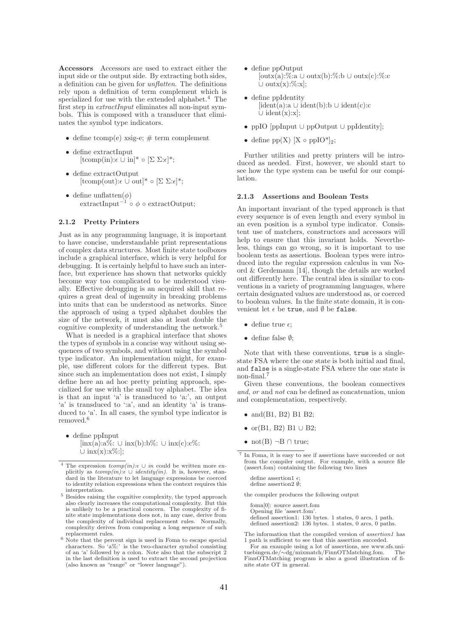Accessors Accessors are used to extract either the input side or the output side. By extracting both sides, a definition can be given for unflatten. The definitions rely upon a definition of term complement which is specialized for use with the extended alphabet.<sup>4</sup> The first step in extractInput eliminates all non-input symbols. This is composed with a transducer that eliminates the symbol type indicators.

- define tcomp(e) xsig-e;  $\#$  term complement
- define extractInput  $[\text{tcomp(in)}:\epsilon \overset{\cdot}{\cup} \text{in}]^* \circ [\Sigma \Sigma:\epsilon]^*;$
- define extractOutput  $[\text{tcomp}(\text{out}): \epsilon \cup \text{out}]^* \circ [\Sigma \Sigma : \epsilon]^*;$
- define unflatten $(\phi)$ extractInput<sup> $-1$ </sup> ∘  $\phi$  ∘ extractOutput;

#### 2.1.2 Pretty Printers

Just as in any programming language, it is important to have concise, understandable print representations of complex data structures. Most finite state toolboxes include a graphical interface, which is very helpful for debugging. It is certainly helpful to have such an interface, but experience has shown that networks quickly become way too complicated to be understood visually. Effective debugging is an acquired skill that requires a great deal of ingenuity in breaking problems into units that can be understood as networks. Since the approach of using a typed alphabet doubles the size of the network, it must also at least double the cognitive complexity of understanding the network.<sup>5</sup>

What is needed is a graphical interface that shows the types of symbols in a concise way without using sequences of two symbols, and without using the symbol type indicator. An implementation might, for example, use different colors for the different types. But since such an implementation does not exist, I simply define here an ad hoc pretty printing approach, specialized for use with the small toy alphabet. The idea is that an input 'a' is transduced to 'a:', an output 'a' is transduced to ':a', and an identity 'a' is transduced to 'a'. In all cases, the symbol type indicator is removed.<sup>6</sup>

• define ppInput  $[\text{inx}(a):\mathbb{R}\times\mathbb{C} \cup \text{inx}(b):\mathbb{R}\times\mathbb{C} \cup \text{inx}(c):\mathbb{C}\times\mathbb{C} \times\mathbb{C} \times\mathbb{C} \times\mathbb{C} \times\mathbb{C} \times\mathbb{C} \times\mathbb{C} \times\mathbb{C} \times\mathbb{C} \times\mathbb{C} \times\mathbb{C} \times\mathbb{C} \times\mathbb{C} \times\mathbb{C} \times\mathbb{C} \times\mathbb{C} \times\mathbb{C} \times\mathbb{C} \times\mathbb{C} \times\mathbb{C} \times\mathbb{C$  $\cup$  inx(x):x%:];

- define ppOutput [outx(a):%:a ∪ outx(b):%:b ∪ outx(c):%:c  $\cup$  outx $(x):\%:x];$
- define ppIdentity [ident(a):a ∪ ident(b):b ∪ ident(c):c ∪ ident(x):x];
- ppIO [ppInput ∪ ppOutput ∪ ppIdentity];
- define  $pp(X)$  [X  $\circ$   $ppIO^*|_2$ ;

Further utilities and pretty printers will be introduced as needed. First, however, we should start to see how the type system can be useful for our compilation.

#### 2.1.3 Assertions and Boolean Tests

An important invariant of the typed approach is that every sequence is of even length and every symbol in an even position is a symbol type indicator. Consistent use of matchers, constructors and accessors will help to ensure that this invariant holds. Nevertheless, things can go wrong, so it is important to use boolean tests as assertions. Boolean types were introduced into the regular expression calculus in van Noord & Gerdemann [14], though the details are worked out differently here. The central idea is similar to conventions in a variety of programming languages, where certain designated values are understood as, or coerced to boolean values. In the finite state domain, it is convenient let  $\epsilon$  be true, and  $\emptyset$  be false.

- define true  $\epsilon$ ;
- define false ∅;

Note that with these conventions, true is a singlestate FSA where the one state is both initial and final, and false is a single-state FSA where the one state is non-final.<sup>7</sup>

Given these conventions, the boolean connectives and, or and not can be defined as concatenation, union and complementation, respectively.

- and  $(B1, B2)$  B1 B2;
- or $(B1, B2)$  B1 ∪ B2;
- not(B)  $\neg B \cap true$ ;

define assertion1  $\epsilon$ ; define assertion2  $\emptyset$ ;

the compiler produces the following output

foma[0]: source assert.fom Opening file 'assert.fom'. defined assertion1: 136 bytes. 1 states, 0 arcs, 1 path. defined assertion2: 136 bytes. 1 states, 0 arcs, 0 paths.

The information that the compiled version of assertion1 has 1 path is sufficient to see that this assertion succeded.

<sup>&</sup>lt;sup>4</sup> The expression  $tcomp(in): \cup_{i=1}^{n}$  could be written more explicitly as  $tcomp(in) \in \cup identity(in)$ . It is, however, stan- $\frac{d}{dx}$  dard in the literature to let language expressions be coerced to identity relation expressions when the context requires this interpretation.

<sup>5</sup> Besides raising the cognitive complexity, the typed approach also clearly increases the computational complexity. But this is unlikely to be a practical concern. The complexity of finite state implementations does not, in any case, derive from the complexity of individual replacement rules. Normally, complexity derives from composing a long sequence of such replacement rules.

 $6$  Note that the percent sign is used in Foma to escape special characters. So 'a%:' is the two-character symbol consisting of an 'a' followed by a colon. Note also that the subscript 2 in the last definition is used to extract the second projection (also known as "range" or "lower language").

<sup>7</sup> In Foma, it is easy to see if assertions have succeeded or not from the compiler output. For example, with a source file (assert.fom) containing the following two lines

For an example using a lot of assertions, see www.sfs.unituebingen.de/∼dg/mixmatch/FinnOTMatching.fom. The FinnOTMatching program is also a good illustration of finite state OT in general.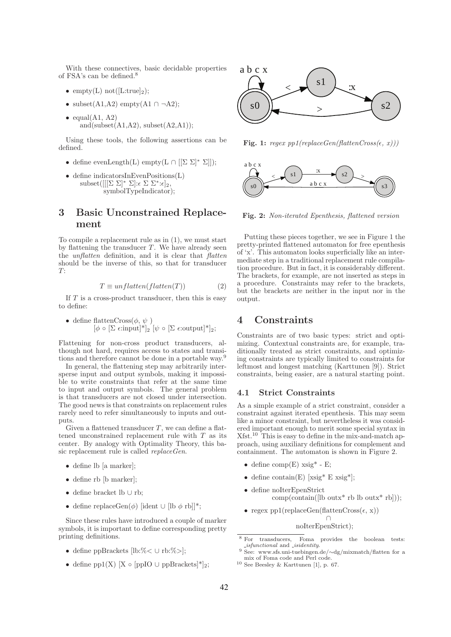With these connectives, basic decidable properties of FSA's can be defined.<sup>8</sup>

- empty(L) not( $[L:true]_2$ );
- subset $(A1, A2)$  empty $(A1 \cap \neg A2)$ ;
- $\bullet$  equal(A1, A2) and(subset $(A1, A2)$ , subset $(A2, A1)$ );

Using these tools, the following assertions can be defined.

- define evenLength(L) empty(L  $\cap$   $[[\Sigma \Sigma]^* \Sigma]]$ );
- define indicatorsInEvenPositions(L)  $\text{subset}([[[\Sigma \Sigma]^* \Sigma]: \epsilon \Sigma \Sigma^* : \epsilon]_2,$ symbolTypeIndicator);

## 3 Basic Unconstrained Replacement

To compile a replacement rule as in (1), we must start by flattening the transducer  $T$ . We have already seen the *unflatten* definition, and it is clear that *flatten* should be the inverse of this, so that for transducer  $T:$ 

$$
T \equiv unflatten(flatenten(T))
$$
 (2)

If  $T$  is a cross-product transducer, then this is easy to define:

\n- define flattenCross(
$$
\phi, \psi
$$
)
\n- [ $\phi \circ [\Sigma \epsilon : input]^*]_2$  [ $\psi \circ [\Sigma \epsilon : output]^*]_2$ ;
\n

Flattening for non-cross product transducers, although not hard, requires access to states and transitions and therefore cannot be done in a portable way.<sup>9</sup>

In general, the flattening step may arbitrarily intersperse input and output symbols, making it impossible to write constraints that refer at the same time to input and output symbols. The general problem is that transducers are not closed under intersection. The good news is that constraints on replacement rules rarely need to refer simultaneously to inputs and outputs.

Given a flattened transducer  $T$ , we can define a flattened unconstrained replacement rule with  $T$  as its center. By analogy with Optimality Theory, this basic replacement rule is called replaceGen.

- define lb [a marker];
- define rb [b marker];
- define bracket lb ∪ rb;
- define replaceGen( $\phi$ ) [ident ∪ [lb  $\phi$  rb]]\*;

Since these rules have introduced a couple of marker symbols, it is important to define corresponding pretty printing definitions.

- define ppBrackets [lb:%< ∪ rb:%>];
- define pp1(X) [X  $\circ$  [ppIO  $\cup$  ppBrackets]\*]<sub>2</sub>;



Fig. 1: regex  $pp1(replaceGen(flattenCross(\epsilon, x)))$ 



Fig. 2: Non-iterated Epenthesis, flattened version

Putting these pieces together, we see in Figure 1 the pretty-printed flattened automaton for free epenthesis of 'x'. This automaton looks superficially like an intermediate step in a traditional replacement rule compilation procedure. But in fact, it is considerably different. The brackets, for example, are not inserted as steps in a procedure. Constraints may refer to the brackets, but the brackets are neither in the input nor in the output.

### 4 Constraints

Constraints are of two basic types: strict and optimizing. Contextual constraints are, for example, traditionally treated as strict constraints, and optimizing constraints are typically limited to constraints for leftmost and longest matching (Karttunen [9]). Strict constraints, being easier, are a natural starting point.

### 4.1 Strict Constraints

As a simple example of a strict constraint, consider a constraint against iterated epenthesis. This may seem like a minor constraint, but nevertheless it was considered important enough to merit some special syntax in Xfst.<sup>10</sup> This is easy to define in the mix-and-match approach, using auxiliary definitions for complement and containment. The automaton is shown in Figure 2.

- define  $comp(E)$  xsig<sup>\*</sup> E;
- define contain(E)  $[x\text{sig*} \to x\text{sig*}];$
- define noIterEpenStrict  $comp(contain([lb outx * rb lb outx * rb]);$
- regex pp1(replaceGen(flattenCross( $\epsilon$ , x))

∩ noIterEpenStrict);

<sup>8</sup> For transducers, Foma provides the boolean tests:  $\emph{-}isfunctional$  and  $\emph{-}isidentity.$ 

<sup>9</sup> See: www.sfs.uni-tuebingen.de/∼dg/mixmatch/flatten for a mix of Foma code and Perl code.

 $10$  See Beesley & Karttunen [1], p. 67.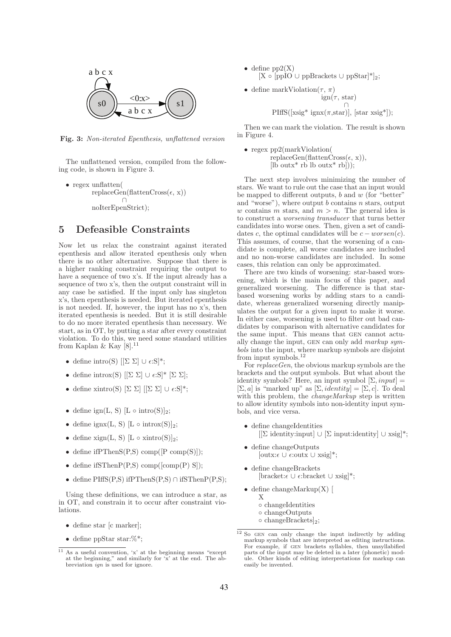

Fig. 3: Non-iterated Epenthesis, unflattened version

The unflattened version, compiled from the following code, is shown in Figure 3.

• regex unflatten(  $replaceGen(flattenCross(\epsilon, x))$ ∩ noIterEpenStrict);

### 5 Defeasible Constraints

Now let us relax the constraint against iterated epenthesis and allow iterated epenthesis only when there is no other alternative. Suppose that there is a higher ranking constraint requiring the output to have a sequence of two x's. If the input already has a sequence of two x's, then the output constraint will in any case be satisfied. If the input only has singleton x's, then epenthesis is needed. But iterated epenthesis is not needed. If, however, the input has no x's, then iterated epenthesis is needed. But it is still desirable to do no more iterated epenthesis than necessary. We start, as in OT, by putting a star after every constraint violation. To do this, we need some standard utilities from Kaplan & Kay  $[8].^{11}$ 

- define intro(S)  $[[\Sigma \Sigma] \cup \epsilon : S]^*;$
- define introx(S)  $[[\Sigma \Sigma] \cup \epsilon: S]^* [\Sigma \Sigma];$
- define xintro(S)  $[\Sigma \Sigma]$   $[[\Sigma \Sigma] \cup \epsilon S]^*$ ;
- define  $ign(L, S)$  [L  $\circ$  intro(S)]<sub>2</sub>;
- define ignx(L, S)  $[L \circ \text{introx}(S)]_2$ ;
- define  $xign(L, S)$  [L  $\circ$  xintro(S)]<sub>2</sub>;
- define if  $PThenS(P,S)$  comp $([P comp(S)]);$
- define if  $SThenP(P,S)$  comp([comp(P) S]);
- define PIffS(P,S) ifPThenS(P,S) ∩ ifSThenP(P,S);

Using these definitions, we can introduce a star, as in OT, and constrain it to occur after constraint violations.

- define star [c marker];
- define ppStar star:%\*;
- define  $pp2(X)$  $[X \circ [ppIO \cup ppBrackets \cup ppStar]$ <sup>\*</sup>]<sub>2</sub>;
- define markViolation( $\tau$ ,  $\pi$ )  $\text{ign}(\tau, \text{star})$ ∩  $PiffS([xsig* ignx(\pi, star)], [star xsig*])$ ;

Then we can mark the violation. The result is shown in Figure 4.

• regex pp2(markViolation(  $replaceGen(flattenCross(\epsilon, x)),$ [lb outx\* rb lb outx\* rb]));

The next step involves minimizing the number of stars. We want to rule out the case that an input would be mapped to different outputs,  $b$  and  $w$  (for "better" and "worse"), where output  $b$  contains  $n$  stars, output w contains m stars, and  $m > n$ . The general idea is to construct a worsening transducer that turns better candidates into worse ones. Then, given a set of candidates c, the optimal candidates will be  $c - worst(c)$ . This assumes, of course, that the worsening of a candidate is complete, all worse candidates are included and no non-worse candidates are included. In some cases, this relation can only be approximated.

There are two kinds of worsening: star-based worsening, which is the main focus of this paper, and generalized worsening. The difference is that starbased worsening works by adding stars to a candidate, whereas generalized worsening directly manipulates the output for a given input to make it worse. In either case, worsening is used to filter out bad candidates by comparison with alternative candidates for the same input. This means that gen cannot actually change the input, gen can only add markup symbols into the input, where markup symbols are disjoint from input symbols.<sup>12</sup>

For replaceGen, the obvious markup symbols are the brackets and the output symbols. But what about the identity symbols? Here, an input symbol  $[\Sigma, input] =$  $[\Sigma, a]$  is "marked up" as  $[\Sigma, identity] = [\Sigma, c]$ . To deal with this problem, the *changeMarkup* step is written to allow identity symbols into non-identity input symbols, and vice versa.

- define changeIdentities [[Σ identity:input] ∪ [Σ input:identity] ∪ xsig]\*;
- define changeOutputs  $[outx:\epsilon \cup \epsilon:outx \cup xsig]*;$
- define changeBrackets  $[bracket:\epsilon \cup \epsilon:\text{bracket} \cup \text{xsig}]^*;$
- define changeMarkup $(X)$ X ◦ changeIdentities
	- changeOutputs
	- changeBrackets]2;

 $\frac{11}{11}$  As a useful convention, 'x' at the beginning means "except" at the beginning," and similarly for 'x' at the end. The abbreviation ign is used for ignore.

 $12$  So GEN can only change the input indirectly by adding markup symbols that are interpreted as editing instructions. For example, if gen brackets syllables, then unsyllabified parts of the input may be deleted in a later (phonetic) module. Other kinds of editing interpretations for markup can easily be invented.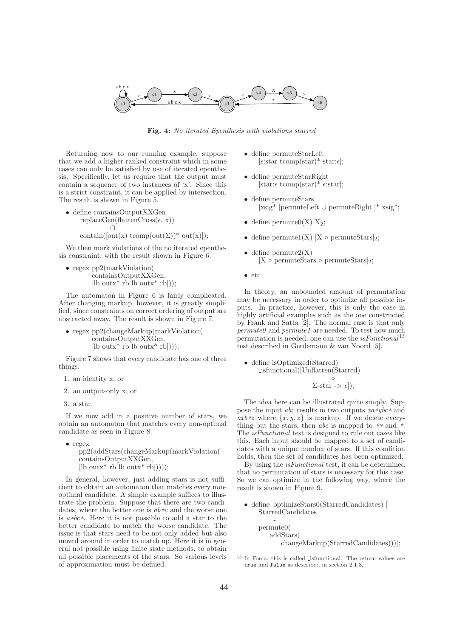

Fig. 4: No iterated Epenthesis with violations starred

Returning now to our running example, suppose that we add a higher ranked constraint which in some cases can only be satisfied by use of iterated epenthesis. Specifically, let us require that the output must contain a sequence of two instances of 'x'. Since this is a strict constraint, it can be applied by intersection. The result is shown in Figure 5.

• define containsOutputXXGen  $replaceGen(flattenCross(\epsilon, x))$ ∩ contain( $[out(x)$  tcomp( $out(\Sigma)$ )<sup>\*</sup> out(x)]);

We then mark violations of the no iterated epenthesis constraint, with the result shown in Figure 6.

• regex pp2(markViolation( containsOutputXXGen,  $[lb outx^* rb lb outx^* rb]$ ;

The automaton in Figure 6 is fairly complicated. After changing markup, however, it is greatly simplified, since constraints on correct ordering of output are abstracted away. The result is shown in Figure 7.

• regex pp2(changeMarkup(markViolation( containsOutputXXGen,  $[lb outx^* rb lb outx^* rb]$ );

Figure 7 shows that every candidate has one of three things.

- 1. an identity x, or
- 2. an output-only x, or
- 3. a star.

If we now add in a positive number of stars, we obtain an automaton that matches every non-optimal candidate as seen in Figure 8.

• regex pp2(addStars(changeMarkup(markViolation( containsOutputXXGen,  $[lb outx^* rb lb outx^* rb]$ )));

In general, however, just adding stars is not sufficient to obtain an automaton that matches every nonoptimal candidate. A simple example suffices to illustrate the problem. Suppose that there are two candidates, where the better one is  $ab*c$  and the worse one is  $a *bc *$ . Here it is not possible to add a star to the better candidate to match the worse candidate. The issue is that stars need to be not only added but also moved around in order to match up. Here it is in general not possible using finite state methods, to obtain all possible placements of the stars. So various levels of approximation must be defined.

- define permuteStarLeft  $[\epsilon:\text{star~temp}(\text{star})^* \text{star}:\epsilon]$ ;
- define permuteStarRight  $[star:\epsilon \text{ toomp}(\text{star})^* \epsilon:\text{star}];$
- define permuteStars [xsig\* [permuteLeft ∪ permuteRight]]\* xsig\*;
- define permute $0(X)$   $X_2$ ;
- define permute1(X) [X  $\circ$  permuteStars]<sub>2</sub>;
- define permute $2(X)$  $[X \circ \text{permuteStars} \circ \text{permuteStars}]_2;$
- etc

In theory, an unbounded amount of permutation may be necessary in order to optimize all possible inputs. In practice, however, this is only the case in highly artificial examples such as the one constructed by Frank and Satta [2]. The normal case is that only  $permute0$  and  $permute1$  are needed. To test how much permutation is needed, one can use the  $isFunctional^{13}$ test described in Gerdemann & van Noord [5].

• define isOptimized(Starred) isfunctional([Unflatten(Starred) ◦

$$
\Sigma\text{-star} \to \epsilon]);
$$

The idea here can be illustrated quite simply. Suppose the input *abc* results in two outputs  $xa\overline{*}ybc\overline{*}$  and  $axb*z$  where  $\{x,y,z\}$  is markup. If we delete everything but the stars, then  $abc$  is mapped to  $**$  and  $*$ . The isFunctional test is designed to rule out cases like this. Each input should be mapped to a set of candidates with a unique number of stars. If this condition holds, then the set of candidates has been optimized.

By using the isFunctional test, it can be determined that no permutation of stars is necessary for this case. So we can optimize in the following way, where the result is shown in Figure 9.

• define optimizeStars0(StarredCandidates) [ StarredCandidates -

```
permute0(
addStars(
   changeMarkup(StarredCandidates)))];
```
<sup>13</sup> In Foma, this is called isfunctional. The return values are true and false as described in section 2.1.3,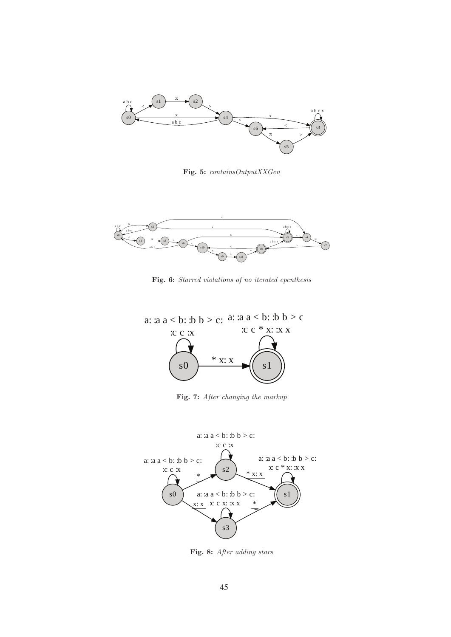

Fig. 5: containsOutputXXGen



Fig. 6: Starred violations of no iterated epenthesis



Fig. 7: After changing the markup



Fig. 8: After adding stars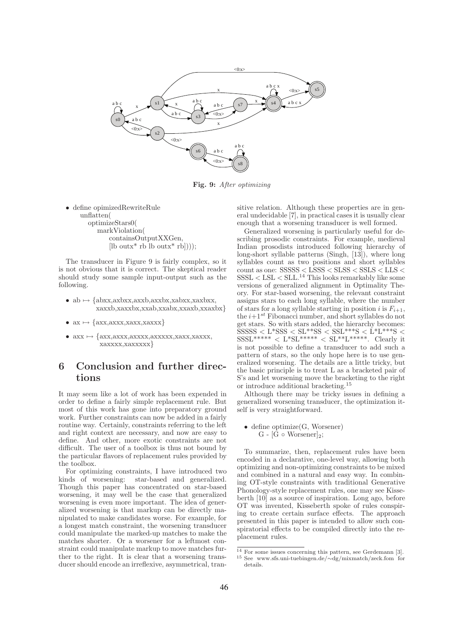

Fig. 9: After optimizing

• define opimizedRewriteRule unflatten( optimizeStars0( markViolation( containsOutputXXGen,  $[lb outx^* rb lb outx^* rb]$ );

The transducer in Figure 9 is fairly complex, so it is not obvious that it is correct. The skeptical reader should study some sample input-output such as the following.

- $ab \mapsto \{abxx,axbxx,axxb,axxbx,xabxx,xaxbxx,$ xaxxb,xaxxbx,xxab,xxabx,xxaxb,xxaxbx}
- $ax \mapsto \{axx,axxx,xaxx,xaxxx\}$
- $axx \mapsto \{axx,axxx,axxxx,axxxxx,xaxx,xaxxx,$ xaxxxx,xaxxxxx}

### 6 Conclusion and further directions

It may seem like a lot of work has been expended in order to define a fairly simple replacement rule. But most of this work has gone into preparatory ground work. Further constraints can now be added in a fairly routine way. Certainly, constraints referring to the left and right context are necessary, and now are easy to define. And other, more exotic constraints are not difficult. The user of a toolbox is thus not bound by the particular flavors of replacement rules provided by the toolbox.

For optimizing constraints, I have introduced two kinds of worsening: star-based and generalized. Though this paper has concentrated on star-based worsening, it may well be the case that generalized worsening is even more important. The idea of generalized worsening is that markup can be directly manipulated to make candidates worse. For example, for a longest match constraint, the worsening transducer could manipulate the marked-up matches to make the matches shorter. Or a worsener for a leftmost constraint could manipulate markup to move matches further to the right. It is clear that a worsening transducer should encode an irreflexive, asymmetrical, transitive relation. Although these properties are in general undecidable [7], in practical cases it is usually clear enough that a worsening transducer is well formed.

Generalized worsening is particularly useful for describing prosodic constraints. For example, medieval Indian prosodists introduced following hierarchy of long-short syllable patterns (Singh, [13]), where long syllables count as two positions and short syllables  $\frac{1}{100}$  count as one: SSSSS < LSSS < SLSS < SSLS < LLS <  $SSSL < LSL < SLL$ <sup>14</sup> This looks remarkably like some versions of generalized alignment in Optimality Theory. For star-based worsening, the relevant constraint assigns stars to each long syllable, where the number of stars for a long syllable starting in position i is  $F_{i+1}$ , the  $i+1^{st}$  Fibonacci number, and short syllables do not get stars. So with stars added, the hierarchy becomes:  $SSSSS < L*SSS < SL**SS < SSL***S < L*L***S <$  $SSSL^{*****} < L^{*}SL^{*****} < SL^{***+}L^{****}$ . Clearly it is not possible to define a transducer to add such a pattern of stars, so the only hope here is to use generalized worsening. The details are a little tricky, but the basic principle is to treat L as a bracketed pair of S's and let worsening move the bracketing to the right or introduce additional bracketing.<sup>15</sup>

Although there may be tricky issues in defining a generalized worsening transducer, the optimization itself is very straightforward.

• define optimize(G, Worsener) G - [G  $\circ$  Worsener]<sub>2</sub>;

To summarize, then, replacement rules have been encoded in a declarative, one-level way, allowing both optimizing and non-optimizing constraints to be mixed and combined in a natural and easy way. In combining OT-style constraints with traditional Generative Phonology-style replacement rules, one may see Kisseberth [10] as a source of inspiration. Long ago, before OT was invented, Kisseberth spoke of rules conspiring to create certain surface effects. The approach presented in this paper is intended to allow such conspiratorial effects to be compiled directly into the replacement rules.

 $\overline{^{14}}$  For some issues concerning this pattern, see Gerdemann [3].

<sup>15</sup> See www.sfs.uni-tuebingen.de/∼dg/mixmatch/zeck.fom for details.